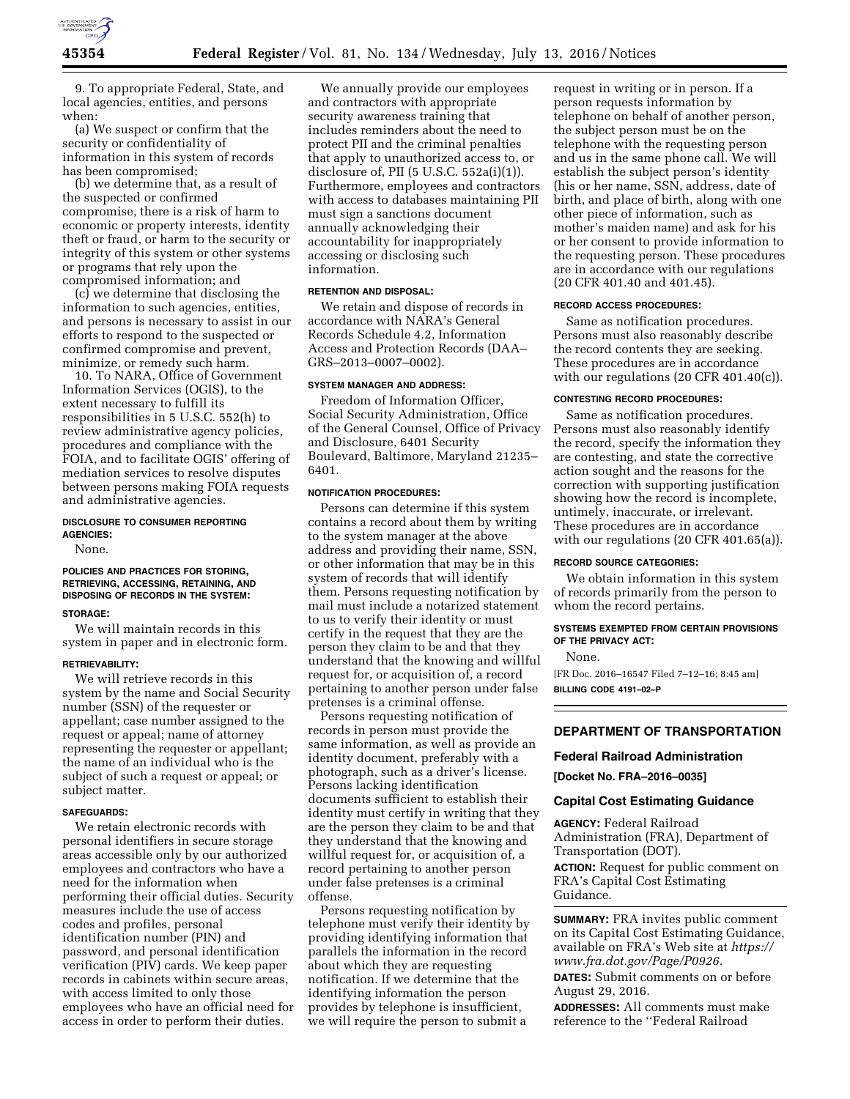

9. To appropriate Federal, State, and local agencies, entities, and persons when:

(a) We suspect or confirm that the security or confidentiality of information in this system of records has been compromised;

(b) we determine that, as a result of the suspected or confirmed compromise, there is a risk of harm to economic or property interests, identity theft or fraud, or harm to the security or integrity of this system or other systems or programs that rely upon the compromised information; and

(c) we determine that disclosing the information to such agencies, entities, and persons is necessary to assist in our efforts to respond to the suspected or confirmed compromise and prevent, minimize, or remedy such harm.

10. To NARA, Office of Government Information Services (OGIS), to the extent necessary to fulfill its responsibilities in 5 U.S.C. 552(h) to review administrative agency policies, procedures and compliance with the FOIA, and to facilitate OGIS' offering of mediation services to resolve disputes between persons making FOIA requests and administrative agencies.

## **DISCLOSURE TO CONSUMER REPORTING AGENCIES:**

None.

# **POLICIES AND PRACTICES FOR STORING, RETRIEVING, ACCESSING, RETAINING, AND DISPOSING OF RECORDS IN THE SYSTEM:**

## **STORAGE:**

We will maintain records in this system in paper and in electronic form.

### **RETRIEVABILITY:**

We will retrieve records in this system by the name and Social Security number (SSN) of the requester or appellant; case number assigned to the request or appeal; name of attorney representing the requester or appellant; the name of an individual who is the subject of such a request or appeal; or subject matter.

#### **SAFEGUARDS:**

We retain electronic records with personal identifiers in secure storage areas accessible only by our authorized employees and contractors who have a need for the information when performing their official duties. Security measures include the use of access codes and profiles, personal identification number (PIN) and password, and personal identification verification (PIV) cards. We keep paper records in cabinets within secure areas, with access limited to only those employees who have an official need for access in order to perform their duties.

We annually provide our employees and contractors with appropriate security awareness training that includes reminders about the need to protect PII and the criminal penalties that apply to unauthorized access to, or disclosure of, PII  $(5 \text{ U.S.C. } 552a(i)(1))$ . Furthermore, employees and contractors with access to databases maintaining PII must sign a sanctions document annually acknowledging their accountability for inappropriately accessing or disclosing such information.

### **RETENTION AND DISPOSAL:**

We retain and dispose of records in accordance with NARA's General Records Schedule 4.2, Information Access and Protection Records (DAA– GRS–2013–0007–0002).

## **SYSTEM MANAGER AND ADDRESS:**

Freedom of Information Officer, Social Security Administration, Office of the General Counsel, Office of Privacy and Disclosure, 6401 Security Boulevard, Baltimore, Maryland 21235– 6401.

#### **NOTIFICATION PROCEDURES:**

Persons can determine if this system contains a record about them by writing to the system manager at the above address and providing their name, SSN, or other information that may be in this system of records that will identify them. Persons requesting notification by mail must include a notarized statement to us to verify their identity or must certify in the request that they are the person they claim to be and that they understand that the knowing and willful request for, or acquisition of, a record pertaining to another person under false pretenses is a criminal offense.

Persons requesting notification of records in person must provide the same information, as well as provide an identity document, preferably with a photograph, such as a driver's license. Persons lacking identification documents sufficient to establish their identity must certify in writing that they are the person they claim to be and that they understand that the knowing and willful request for, or acquisition of, a record pertaining to another person under false pretenses is a criminal offense.

Persons requesting notification by telephone must verify their identity by providing identifying information that parallels the information in the record about which they are requesting notification. If we determine that the identifying information the person provides by telephone is insufficient, we will require the person to submit a

request in writing or in person. If a person requests information by telephone on behalf of another person, the subject person must be on the telephone with the requesting person and us in the same phone call. We will establish the subject person's identity (his or her name, SSN, address, date of birth, and place of birth, along with one other piece of information, such as mother's maiden name) and ask for his or her consent to provide information to the requesting person. These procedures are in accordance with our regulations (20 CFR 401.40 and 401.45).

#### **RECORD ACCESS PROCEDURES:**

Same as notification procedures. Persons must also reasonably describe the record contents they are seeking. These procedures are in accordance with our regulations (20 CFR 401.40(c)).

### **CONTESTING RECORD PROCEDURES:**

Same as notification procedures. Persons must also reasonably identify the record, specify the information they are contesting, and state the corrective action sought and the reasons for the correction with supporting justification showing how the record is incomplete, untimely, inaccurate, or irrelevant. These procedures are in accordance with our regulations (20 CFR 401.65(a)).

#### **RECORD SOURCE CATEGORIES:**

We obtain information in this system of records primarily from the person to whom the record pertains.

## **SYSTEMS EXEMPTED FROM CERTAIN PROVISIONS OF THE PRIVACY ACT:**

None.

[FR Doc. 2016–16547 Filed 7–12–16; 8:45 am] **BILLING CODE 4191–02–P** 

### **DEPARTMENT OF TRANSPORTATION**

#### **Federal Railroad Administration**

**[Docket No. FRA–2016–0035]** 

### **Capital Cost Estimating Guidance**

**AGENCY:** Federal Railroad Administration (FRA), Department of Transportation (DOT).

**ACTION:** Request for public comment on FRA's Capital Cost Estimating Guidance.

**SUMMARY:** FRA invites public comment on its Capital Cost Estimating Guidance, available on FRA's Web site at *[https://](https://www.fra.dot.gov/Page/P0926) [www.fra.dot.gov/Page/P0926.](https://www.fra.dot.gov/Page/P0926)* 

**DATES:** Submit comments on or before August 29, 2016.

**ADDRESSES:** All comments must make reference to the ''Federal Railroad